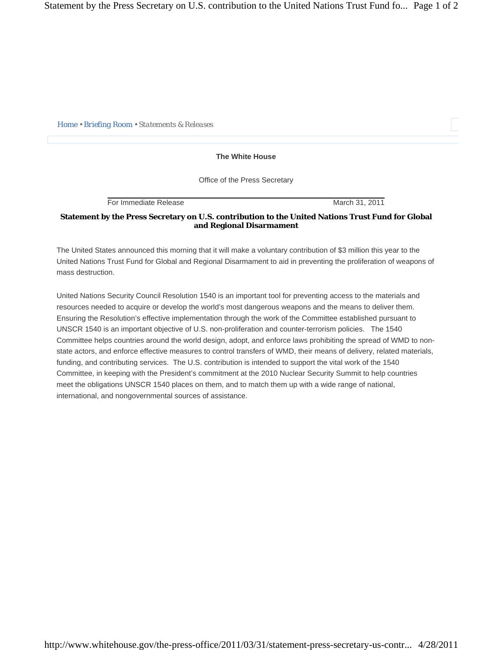*Home • Briefing Room • Statements & Releases* 

**The White House** 

Office of the Press Secretary

For Immediate Release March 31, 2011

## **Statement by the Press Secretary on U.S. contribution to the United Nations Trust Fund for Global and Regional Disarmament**

The United States announced this morning that it will make a voluntary contribution of \$3 million this year to the United Nations Trust Fund for Global and Regional Disarmament to aid in preventing the proliferation of weapons of mass destruction.

United Nations Security Council Resolution 1540 is an important tool for preventing access to the materials and resources needed to acquire or develop the world's most dangerous weapons and the means to deliver them. Ensuring the Resolution's effective implementation through the work of the Committee established pursuant to UNSCR 1540 is an important objective of U.S. non-proliferation and counter-terrorism policies. The 1540 Committee helps countries around the world design, adopt, and enforce laws prohibiting the spread of WMD to nonstate actors, and enforce effective measures to control transfers of WMD, their means of delivery, related materials, funding, and contributing services. The U.S. contribution is intended to support the vital work of the 1540 Committee, in keeping with the President's commitment at the 2010 Nuclear Security Summit to help countries meet the obligations UNSCR 1540 places on them, and to match them up with a wide range of national, international, and nongovernmental sources of assistance.